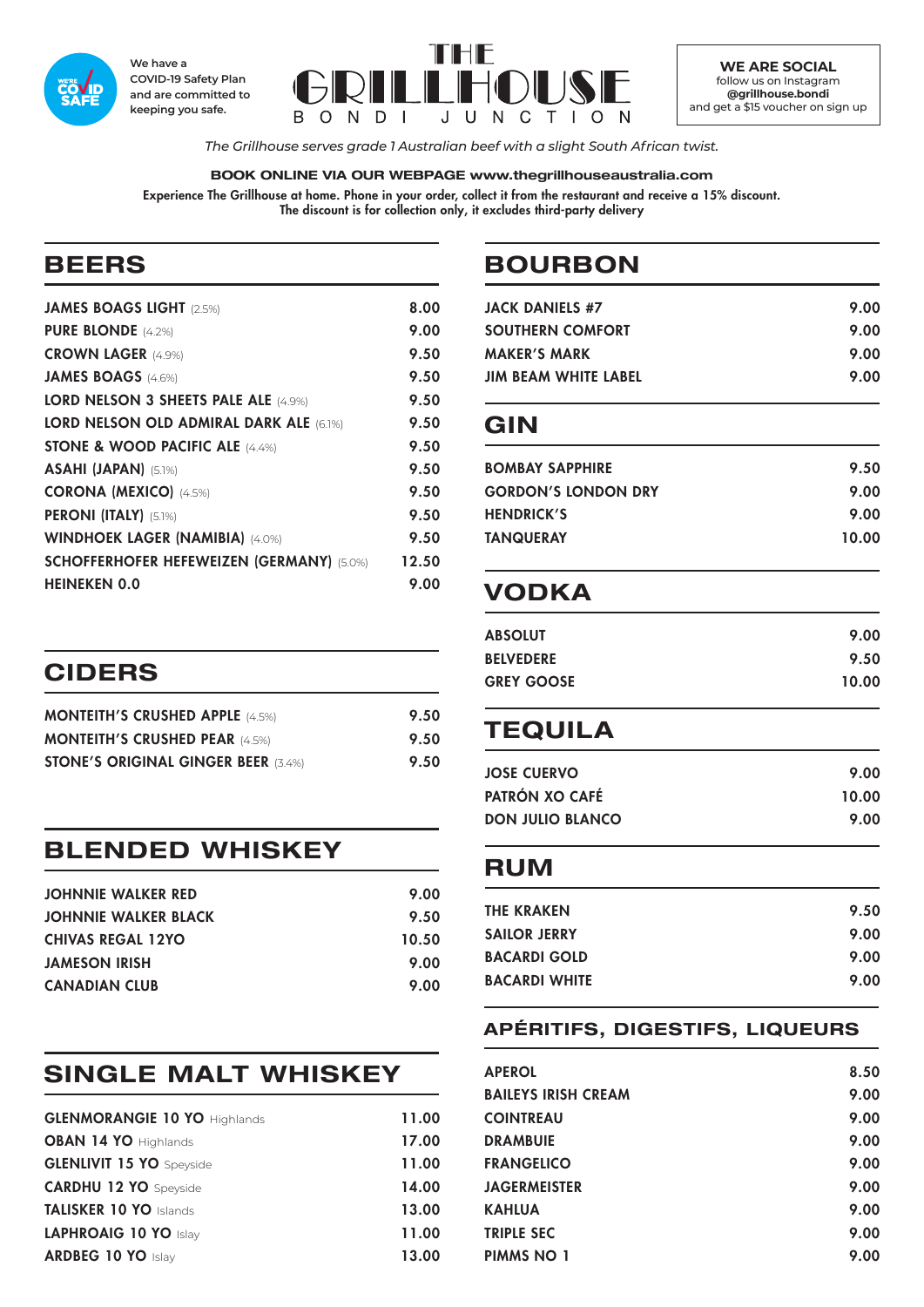

**We have a COVID-19 Safety Plan and are committed to keeping you safe.**



**WE ARE SOCIAL** follow us on Instagram **@grillhouse.bondi** and get a \$15 voucher on sign up

*The Grillhouse serves grade 1 Australian beef with a slight South African twist.*

#### **BOOK ONLINE VIA OUR WEBPAGE www.thegrillhouseaustralia.com**

Experience The Grillhouse at home. Phone in your order, collect it from the restaurant and receive a 15% discount. The discount is for collection only, it excludes third-party delivery

# **BEERS**

| <b>JAMES BOAGS LIGHT (2.5%)</b>                  | 8.00  |
|--------------------------------------------------|-------|
| <b>PURE BLONDE</b> (4.2%)                        | 9.00  |
| <b>CROWN LAGER (4.9%)</b>                        | 9.50  |
| <b>JAMES BOAGS (4.6%)</b>                        | 9.50  |
| LORD NELSON 3 SHEETS PALE ALE (4.9%)             | 9.50  |
| LORD NELSON OLD ADMIRAL DARK ALE (6.1%)          | 9.50  |
| <b>STONE &amp; WOOD PACIFIC ALE (4.4%)</b>       | 9.50  |
| ASAHI (JAPAN) (5.1%)                             | 9.50  |
| <b>CORONA (MEXICO)</b> (4.5%)                    | 9.50  |
| <b>PERONI (ITALY)</b> (5.1%)                     | 9.50  |
| <b>WINDHOEK LAGER (NAMIBIA) (4.0%)</b>           | 9.50  |
| <b>SCHOFFERHOFER HEFEWEIZEN (GERMANY) (5.0%)</b> | 12.50 |
| <b>HEINEKEN 0.0</b>                              | 9.00  |
|                                                  |       |

| <b>CIDERS</b>                          |      |
|----------------------------------------|------|
| <b>MONTEITH'S CRUSHED APPLE (4.5%)</b> | 9.50 |

| <b>MONTEITH'S CRUSHED PEAR (4.5%)</b>      | 9.50 |
|--------------------------------------------|------|
| <b>STONE'S ORIGINAL GINGER BEER (3.4%)</b> | 9.50 |

### **BLENDED WHISKEY**

| <b>JOHNNIE WALKER RED</b>   | 9.00  |
|-----------------------------|-------|
| <b>JOHNNIE WALKER BLACK</b> | 9.50  |
| <b>CHIVAS REGAL 12YO</b>    | 10.50 |
| <b>JAMESON IRISH</b>        | 9.00  |
| <b>CANADIAN CLUB</b>        | 9.00  |

# **SINGLE MALT WHISKEY**

| <b>GLENMORANGIE 10 YO Highlands</b> | 11.00 |
|-------------------------------------|-------|
| <b>OBAN 14 YO Highlands</b>         | 17.00 |
| <b>GLENLIVIT 15 YO</b> Speyside     | 11.00 |
| <b>CARDHU 12 YO</b> Speyside        | 14.00 |
| <b>TALISKER 10 YO Islands</b>       | 13.00 |
| LAPHROAIG 10 YO Islay               | 11.00 |
| <b>ARDBEG 10 YO Islay</b>           | 13.00 |

# **BOURBON**

| JACK DANIELS #7             | 9.00 |
|-----------------------------|------|
| <b>SOUTHERN COMFORT</b>     | 9.00 |
| <b>MAKER'S MARK</b>         | 9.00 |
| <b>JIM BEAM WHITE LABEL</b> | 9.00 |
|                             |      |

### **GIN**

| <b>BOMBAY SAPPHIRE</b>     | 9.50  |
|----------------------------|-------|
| <b>GORDON'S LONDON DRY</b> | 9.00  |
| <b>HENDRICK'S</b>          | 9.00  |
| <b>TANQUERAY</b>           | 10.00 |
|                            |       |

# **VODKA**

| 9.00  |
|-------|
| 9.50  |
| 10.00 |
|       |

# **TEQUILA**

| <b>JOSE CUERVO</b>      | 9.00  |
|-------------------------|-------|
| PATRÓN XO CAFÉ          | 10.00 |
| <b>DON JULIO BLANCO</b> | 9.00  |

### **RUM**

| <b>THE KRAKEN</b>    | 9.50 |
|----------------------|------|
| <b>SAILOR JERRY</b>  | 9.00 |
| <b>BACARDI GOLD</b>  | 9.00 |
| <b>BACARDI WHITE</b> | 9.00 |
|                      |      |

#### **APÉRITIFS, DIGESTIFS, LIQUEURS**

| <b>APEROL</b>              | 8.50 |
|----------------------------|------|
| <b>BAILEYS IRISH CREAM</b> | 9.00 |
| <b>COINTREAU</b>           | 9.00 |
| <b>DRAMBUIE</b>            | 9.00 |
| <b>FRANGELICO</b>          | 9.00 |
| <b>JAGERMEISTER</b>        | 9.00 |
| <b>KAHLUA</b>              | 9.00 |
| <b>TRIPLE SEC</b>          | 9.00 |
| <b>PIMMS NO 1</b>          | 9.00 |